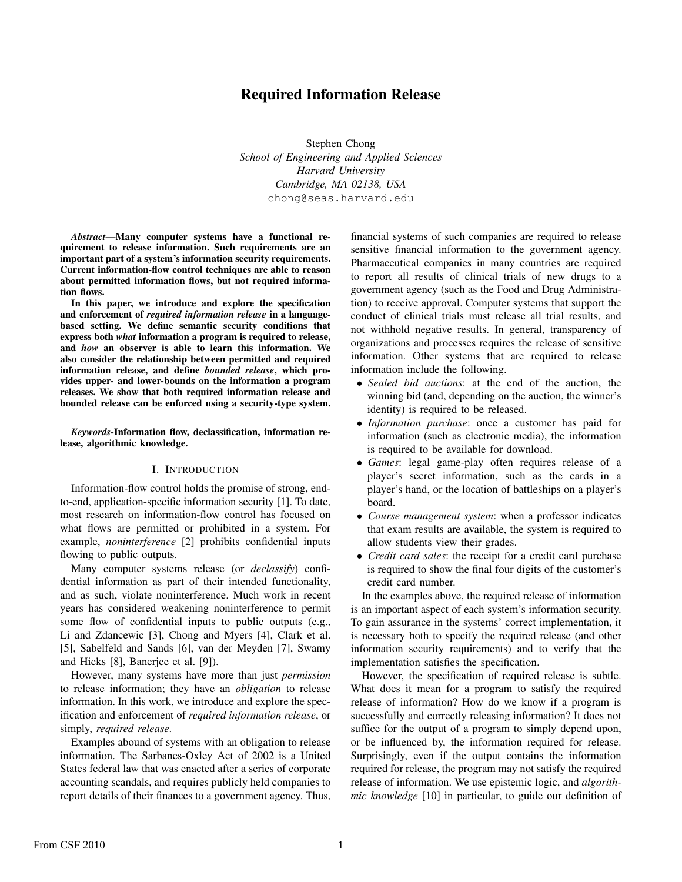# Required Information Release

Stephen Chong *School of Engineering and Applied Sciences Harvard University Cambridge, MA 02138, USA* chong@seas.harvard.edu

*Abstract*—Many computer systems have a functional requirement to release information. Such requirements are an important part of a system's information security requirements. Current information-flow control techniques are able to reason about permitted information flows, but not required information flows.

In this paper, we introduce and explore the specification and enforcement of *required information release* in a languagebased setting. We define semantic security conditions that express both *what* information a program is required to release, and *how* an observer is able to learn this information. We also consider the relationship between permitted and required information release, and define *bounded release*, which provides upper- and lower-bounds on the information a program releases. We show that both required information release and bounded release can be enforced using a security-type system.

*Keywords*-Information flow, declassification, information release, algorithmic knowledge.

#### I. INTRODUCTION

Information-flow control holds the promise of strong, endto-end, application-specific information security [1]. To date, most research on information-flow control has focused on what flows are permitted or prohibited in a system. For example, *noninterference* [2] prohibits confidential inputs flowing to public outputs.

Many computer systems release (or *declassify*) confidential information as part of their intended functionality, and as such, violate noninterference. Much work in recent years has considered weakening noninterference to permit some flow of confidential inputs to public outputs (e.g., Li and Zdancewic [3], Chong and Myers [4], Clark et al. [5], Sabelfeld and Sands [6], van der Meyden [7], Swamy and Hicks [8], Banerjee et al. [9]).

However, many systems have more than just *permission* to release information; they have an *obligation* to release information. In this work, we introduce and explore the specification and enforcement of *required information release*, or simply, *required release*.

Examples abound of systems with an obligation to release information. The Sarbanes-Oxley Act of 2002 is a United States federal law that was enacted after a series of corporate accounting scandals, and requires publicly held companies to report details of their finances to a government agency. Thus, financial systems of such companies are required to release sensitive financial information to the government agency. Pharmaceutical companies in many countries are required to report all results of clinical trials of new drugs to a government agency (such as the Food and Drug Administration) to receive approval. Computer systems that support the conduct of clinical trials must release all trial results, and not withhold negative results. In general, transparency of organizations and processes requires the release of sensitive information. Other systems that are required to release information include the following.

- *Sealed bid auctions*: at the end of the auction, the winning bid (and, depending on the auction, the winner's identity) is required to be released.
- *Information purchase*: once a customer has paid for information (such as electronic media), the information is required to be available for download.
- *Games*: legal game-play often requires release of a player's secret information, such as the cards in a player's hand, or the location of battleships on a player's board.
- *Course management system*: when a professor indicates that exam results are available, the system is required to allow students view their grades.
- *Credit card sales*: the receipt for a credit card purchase is required to show the final four digits of the customer's credit card number.

In the examples above, the required release of information is an important aspect of each system's information security. To gain assurance in the systems' correct implementation, it is necessary both to specify the required release (and other information security requirements) and to verify that the implementation satisfies the specification.

However, the specification of required release is subtle. What does it mean for a program to satisfy the required release of information? How do we know if a program is successfully and correctly releasing information? It does not suffice for the output of a program to simply depend upon, or be influenced by, the information required for release. Surprisingly, even if the output contains the information required for release, the program may not satisfy the required release of information. We use epistemic logic, and *algorithmic knowledge* [10] in particular, to guide our definition of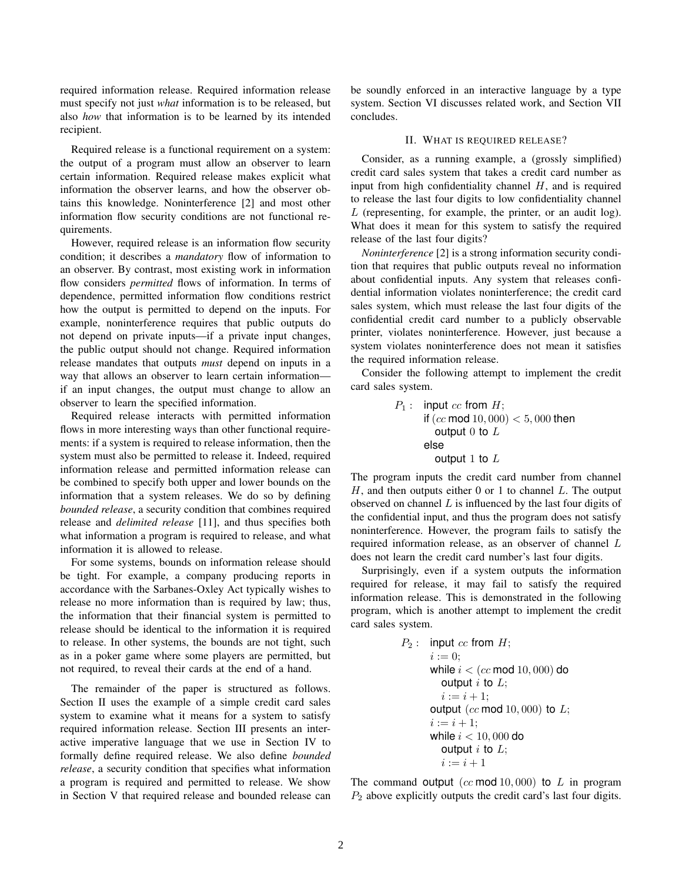required information release. Required information release must specify not just *what* information is to be released, but also *how* that information is to be learned by its intended recipient.

Required release is a functional requirement on a system: the output of a program must allow an observer to learn certain information. Required release makes explicit what information the observer learns, and how the observer obtains this knowledge. Noninterference [2] and most other information flow security conditions are not functional requirements.

However, required release is an information flow security condition; it describes a *mandatory* flow of information to an observer. By contrast, most existing work in information flow considers *permitted* flows of information. In terms of dependence, permitted information flow conditions restrict how the output is permitted to depend on the inputs. For example, noninterference requires that public outputs do not depend on private inputs—if a private input changes, the public output should not change. Required information release mandates that outputs *must* depend on inputs in a way that allows an observer to learn certain information if an input changes, the output must change to allow an observer to learn the specified information.

Required release interacts with permitted information flows in more interesting ways than other functional requirements: if a system is required to release information, then the system must also be permitted to release it. Indeed, required information release and permitted information release can be combined to specify both upper and lower bounds on the information that a system releases. We do so by defining *bounded release*, a security condition that combines required release and *delimited release* [11], and thus specifies both what information a program is required to release, and what information it is allowed to release.

For some systems, bounds on information release should be tight. For example, a company producing reports in accordance with the Sarbanes-Oxley Act typically wishes to release no more information than is required by law; thus, the information that their financial system is permitted to release should be identical to the information it is required to release. In other systems, the bounds are not tight, such as in a poker game where some players are permitted, but not required, to reveal their cards at the end of a hand.

The remainder of the paper is structured as follows. Section II uses the example of a simple credit card sales system to examine what it means for a system to satisfy required information release. Section III presents an interactive imperative language that we use in Section IV to formally define required release. We also define *bounded release*, a security condition that specifies what information a program is required and permitted to release. We show in Section V that required release and bounded release can be soundly enforced in an interactive language by a type system. Section VI discusses related work, and Section VII concludes.

# II. WHAT IS REQUIRED RELEASE?

Consider, as a running example, a (grossly simplified) credit card sales system that takes a credit card number as input from high confidentiality channel  $H$ , and is required to release the last four digits to low confidentiality channel L (representing, for example, the printer, or an audit log). What does it mean for this system to satisfy the required release of the last four digits?

*Noninterference* [2] is a strong information security condition that requires that public outputs reveal no information about confidential inputs. Any system that releases confidential information violates noninterference; the credit card sales system, which must release the last four digits of the confidential credit card number to a publicly observable printer, violates noninterference. However, just because a system violates noninterference does not mean it satisfies the required information release.

Consider the following attempt to implement the credit card sales system.

$$
P_1: \begin{array}{l}\text{input } cc \text{ from } H; \\ \text{if } (cc \text{ mod } 10,000) < 5,000 \text{ then} \\ \text{output } 0 \text{ to } L \end{array}
$$
\n
$$
\text{else}
$$
\n
$$
\text{output } 1 \text{ to } L
$$

The program inputs the credit card number from channel  $H$ , and then outputs either 0 or 1 to channel  $L$ . The output observed on channel  $L$  is influenced by the last four digits of the confidential input, and thus the program does not satisfy noninterference. However, the program fails to satisfy the required information release, as an observer of channel L does not learn the credit card number's last four digits.

Surprisingly, even if a system outputs the information required for release, it may fail to satisfy the required information release. This is demonstrated in the following program, which is another attempt to implement the credit card sales system.

$$
P_2: \begin{aligned}\n& \text{input } cc \text{ from } H; \\
& i := 0; \\
& \text{while } i < (cc \text{ mod } 10,000) \text{ do} \\
& \text{output } i \text{ to } L; \\
& i := i + 1; \\
& \text{output } (cc \text{ mod } 10,000) \text{ to } L; \\
& i := i + 1; \\
& \text{while } i < 10,000 \text{ do} \\
& \text{output } i \text{ to } L; \\
& i := i + 1\n\end{aligned}
$$

The command output  $(cc \mod 10,000)$  to L in program  $P_2$  above explicitly outputs the credit card's last four digits.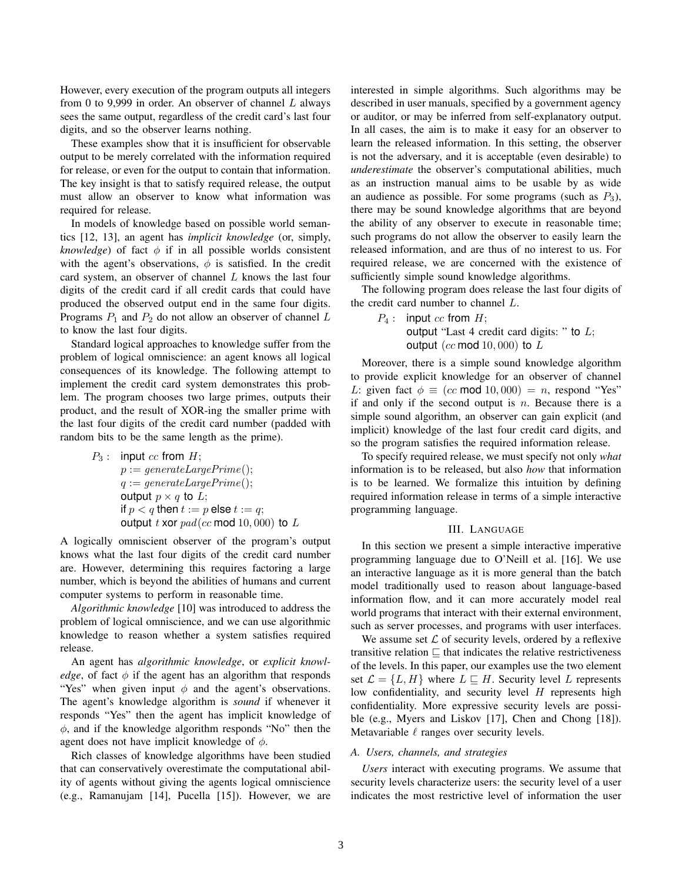However, every execution of the program outputs all integers from 0 to 9,999 in order. An observer of channel  $L$  always sees the same output, regardless of the credit card's last four digits, and so the observer learns nothing.

These examples show that it is insufficient for observable output to be merely correlated with the information required for release, or even for the output to contain that information. The key insight is that to satisfy required release, the output must allow an observer to know what information was required for release.

In models of knowledge based on possible world semantics [12, 13], an agent has *implicit knowledge* (or, simply, *knowledge*) of fact  $\phi$  if in all possible worlds consistent with the agent's observations,  $\phi$  is satisfied. In the credit card system, an observer of channel L knows the last four digits of the credit card if all credit cards that could have produced the observed output end in the same four digits. Programs  $P_1$  and  $P_2$  do not allow an observer of channel L to know the last four digits.

Standard logical approaches to knowledge suffer from the problem of logical omniscience: an agent knows all logical consequences of its knowledge. The following attempt to implement the credit card system demonstrates this problem. The program chooses two large primes, outputs their product, and the result of XOR-ing the smaller prime with the last four digits of the credit card number (padded with random bits to be the same length as the prime).

> $P_3$ : input cc from H;  $p := generateLargePrime();$  $q := generateLargePrime();$ output  $p \times q$  to  $L$ ; if  $p < q$  then  $t := p$  else  $t := q$ ; output t xor  $pad(cc \mod 10,000)$  to L

A logically omniscient observer of the program's output knows what the last four digits of the credit card number are. However, determining this requires factoring a large number, which is beyond the abilities of humans and current computer systems to perform in reasonable time.

*Algorithmic knowledge* [10] was introduced to address the problem of logical omniscience, and we can use algorithmic knowledge to reason whether a system satisfies required release.

An agent has *algorithmic knowledge*, or *explicit knowledge*, of fact  $\phi$  if the agent has an algorithm that responds "Yes" when given input  $\phi$  and the agent's observations. The agent's knowledge algorithm is *sound* if whenever it responds "Yes" then the agent has implicit knowledge of  $\phi$ , and if the knowledge algorithm responds "No" then the agent does not have implicit knowledge of  $\phi$ .

Rich classes of knowledge algorithms have been studied that can conservatively overestimate the computational ability of agents without giving the agents logical omniscience (e.g., Ramanujam [14], Pucella [15]). However, we are interested in simple algorithms. Such algorithms may be described in user manuals, specified by a government agency or auditor, or may be inferred from self-explanatory output. In all cases, the aim is to make it easy for an observer to learn the released information. In this setting, the observer is not the adversary, and it is acceptable (even desirable) to *underestimate* the observer's computational abilities, much as an instruction manual aims to be usable by as wide an audience as possible. For some programs (such as  $P_3$ ), there may be sound knowledge algorithms that are beyond the ability of any observer to execute in reasonable time; such programs do not allow the observer to easily learn the released information, and are thus of no interest to us. For required release, we are concerned with the existence of sufficiently simple sound knowledge algorithms.

The following program does release the last four digits of the credit card number to channel L.

 $P_4$ : input cc from  $H$ ; output "Last 4 credit card digits: " to  $L$ ; output (cc mod 10,000) to  $L$ 

Moreover, there is a simple sound knowledge algorithm to provide explicit knowledge for an observer of channel L: given fact  $\phi \equiv (cc \mod 10, 000) = n$ , respond "Yes" if and only if the second output is  $n$ . Because there is a simple sound algorithm, an observer can gain explicit (and implicit) knowledge of the last four credit card digits, and so the program satisfies the required information release.

To specify required release, we must specify not only *what* information is to be released, but also *how* that information is to be learned. We formalize this intuition by defining required information release in terms of a simple interactive programming language.

#### III. LANGUAGE

In this section we present a simple interactive imperative programming language due to O'Neill et al. [16]. We use an interactive language as it is more general than the batch model traditionally used to reason about language-based information flow, and it can more accurately model real world programs that interact with their external environment, such as server processes, and programs with user interfaces.

We assume set  $\mathcal L$  of security levels, ordered by a reflexive transitive relation  $\sqsubseteq$  that indicates the relative restrictiveness of the levels. In this paper, our examples use the two element set  $\mathcal{L} = \{L, H\}$  where  $L \sqsubseteq H$ . Security level L represents low confidentiality, and security level  $H$  represents high confidentiality. More expressive security levels are possible (e.g., Myers and Liskov [17], Chen and Chong [18]). Metavariable  $\ell$  ranges over security levels.

# *A. Users, channels, and strategies*

*Users* interact with executing programs. We assume that security levels characterize users: the security level of a user indicates the most restrictive level of information the user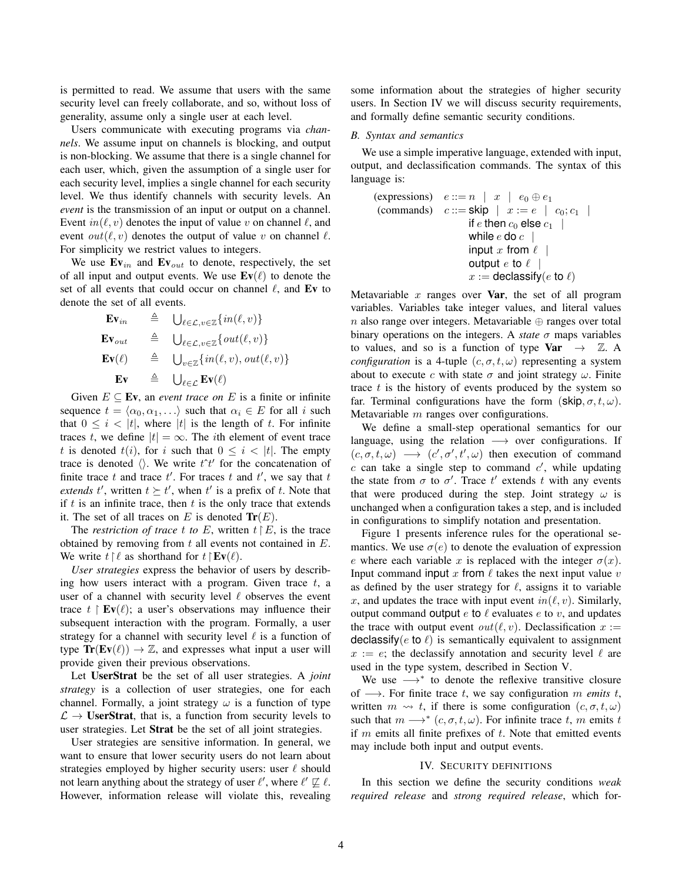is permitted to read. We assume that users with the same security level can freely collaborate, and so, without loss of generality, assume only a single user at each level.

Users communicate with executing programs via *channels*. We assume input on channels is blocking, and output is non-blocking. We assume that there is a single channel for each user, which, given the assumption of a single user for each security level, implies a single channel for each security level. We thus identify channels with security levels. An *event* is the transmission of an input or output on a channel. Event  $in(\ell, v)$  denotes the input of value v on channel  $\ell$ , and event  $out(\ell, v)$  denotes the output of value v on channel  $\ell$ . For simplicity we restrict values to integers.

We use  $Ev_{in}$  and  $Ev_{out}$  to denote, respectively, the set of all input and output events. We use  $Ev(\ell)$  to denote the set of all events that could occur on channel  $\ell$ , and Ev to denote the set of all events.

$$
\begin{array}{rcl}\n\mathbf{Ev}_{in} & \triangleq & \bigcup_{\ell \in \mathcal{L}, v \in \mathbb{Z}} \{in(\ell, v)\} \\
\mathbf{Ev}_{out} & \triangleq & \bigcup_{\ell \in \mathcal{L}, v \in \mathbb{Z}} \{out(\ell, v)\} \\
\mathbf{Ev}(\ell) & \triangleq & \bigcup_{v \in \mathbb{Z}} \{in(\ell, v), out(\ell, v)\} \\
\mathbf{Ev} & \triangleq & \bigcup_{\ell \in \mathcal{L}} \mathbf{Ev}(\ell)\n\end{array}
$$

Given  $E \subseteq \mathbf{Ev}$ , an *event trace on* E is a finite or infinite sequence  $t = \langle \alpha_0, \alpha_1, \ldots \rangle$  such that  $\alpha_i \in E$  for all i such that  $0 \leq i \leq |t|$ , where  $|t|$  is the length of t. For infinite traces t, we define  $|t| = \infty$ . The *i*th element of event trace t is denoted  $t(i)$ , for i such that  $0 \leq i \leq |t|$ . The empty trace is denoted  $\langle \rangle$ . We write  $t^{\dagger}t'$  for the concatenation of finite trace t and trace t'. For traces t and t', we say that t *extends*  $t'$ , written  $t \geq t'$ , when  $t'$  is a prefix of t. Note that if  $t$  is an infinite trace, then  $t$  is the only trace that extends it. The set of all traces on E is denoted  $Tr(E)$ .

The *restriction of trace* t to E, written  $t \restriction E$ , is the trace obtained by removing from  $t$  all events not contained in  $E$ . We write  $t \upharpoonright \ell$  as shorthand for  $t \upharpoonright \mathbf{Ev}(\ell)$ .

*User strategies* express the behavior of users by describing how users interact with a program. Given trace  $t$ , a user of a channel with security level  $\ell$  observes the event trace  $t \restriction \mathbf{Ev}(\ell)$ ; a user's observations may influence their subsequent interaction with the program. Formally, a user strategy for a channel with security level  $\ell$  is a function of type  $\text{Tr}(\text{Ev}(\ell)) \rightarrow \mathbb{Z}$ , and expresses what input a user will provide given their previous observations.

Let UserStrat be the set of all user strategies. A *joint strategy* is a collection of user strategies, one for each channel. Formally, a joint strategy  $\omega$  is a function of type  $\mathcal{L} \rightarrow$  UserStrat, that is, a function from security levels to user strategies. Let Strat be the set of all joint strategies.

User strategies are sensitive information. In general, we want to ensure that lower security users do not learn about strategies employed by higher security users: user  $\ell$  should not learn anything about the strategy of user  $\ell'$ , where  $\ell' \not\sqsubseteq \ell$ . However, information release will violate this, revealing some information about the strategies of higher security users. In Section IV we will discuss security requirements, and formally define semantic security conditions.

# *B. Syntax and semantics*

We use a simple imperative language, extended with input, output, and declassification commands. The syntax of this language is:

| (expressions)                                | $e ::= n \mid x \mid e_0 \oplus e_1$               |
|----------------------------------------------|----------------------------------------------------|
| (commands)                                   | $c ::= \text{skip} \mid x := e \mid c_0; c_1 \mid$ |
| if $e$ then $c_0$ else $c_1 \mid$            |                                                    |
| while $e$ do $c \mid$                        |                                                    |
| input $x$ from $\ell \mid$                   |                                                    |
| output $e$ to $\ell \mid$                    |                                                    |
| $x := \text{declassify}(e \text{ to } \ell)$ |                                                    |

Metavariable  $x$  ranges over Var, the set of all program variables. Variables take integer values, and literal values  $n$  also range over integers. Metavariable  $\oplus$  ranges over total binary operations on the integers. A *state* σ maps variables to values, and so is a function of type  $\text{Var} \rightarrow \mathbb{Z}$ . A *configuration* is a 4-tuple  $(c, \sigma, t, \omega)$  representing a system about to execute c with state  $\sigma$  and joint strategy  $\omega$ . Finite trace  $t$  is the history of events produced by the system so far. Terminal configurations have the form (skip,  $\sigma, t, \omega$ ). Metavariable  $m$  ranges over configurations.

We define a small-step operational semantics for our language, using the relation  $\longrightarrow$  over configurations. If  $(c, \sigma, t, \omega) \rightarrow (c', \sigma', t', \omega)$  then execution of command  $c$  can take a single step to command  $c'$ , while updating the state from  $\sigma$  to  $\sigma'$ . Trace t' extends t with any events that were produced during the step. Joint strategy  $\omega$  is unchanged when a configuration takes a step, and is included in configurations to simplify notation and presentation.

Figure 1 presents inference rules for the operational semantics. We use  $\sigma(e)$  to denote the evaluation of expression e where each variable x is replaced with the integer  $\sigma(x)$ . Input command input x from  $\ell$  takes the next input value v as defined by the user strategy for  $\ell$ , assigns it to variable x, and updates the trace with input event  $in(\ell, v)$ . Similarly, output command output  $e$  to  $\ell$  evaluates  $e$  to  $v$ , and updates the trace with output event  $out(\ell, v)$ . Declassification  $x :=$ declassify( $e$  to  $\ell$ ) is semantically equivalent to assignment  $x := e$ ; the declassify annotation and security level  $\ell$  are used in the type system, described in Section V.

We use  $\longrightarrow^*$  to denote the reflexive transitive closure of  $\longrightarrow$ . For finite trace t, we say configuration m *emits* t, written  $m \rightsquigarrow t$ , if there is some configuration  $(c, \sigma, t, \omega)$ such that  $m \longrightarrow^* (c, \sigma, t, \omega)$ . For infinite trace t, m emits t if  $m$  emits all finite prefixes of  $t$ . Note that emitted events may include both input and output events.

#### IV. SECURITY DEFINITIONS

In this section we define the security conditions *weak required release* and *strong required release*, which for-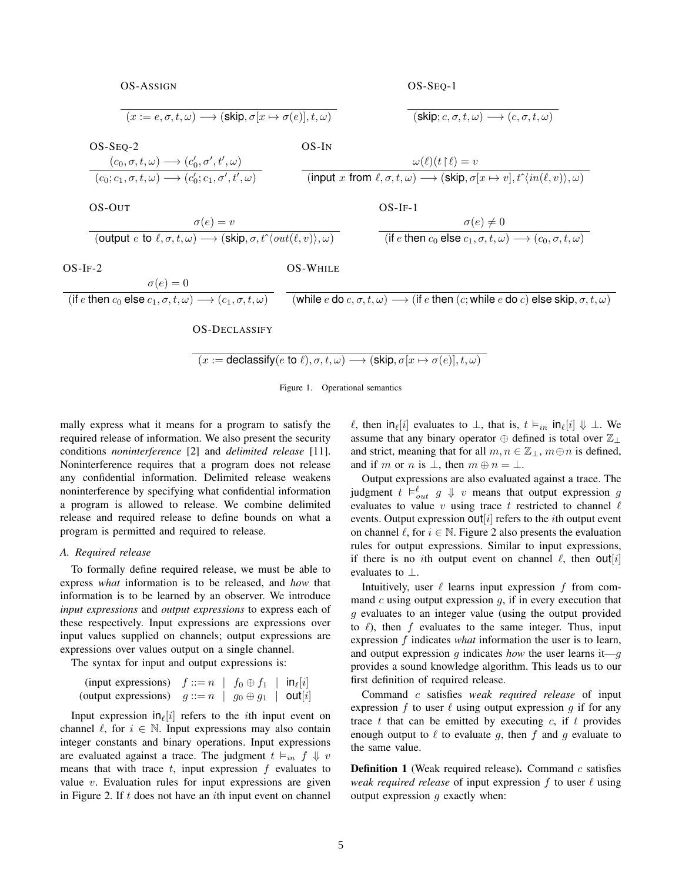



mally express what it means for a program to satisfy the required release of information. We also present the security conditions *noninterference* [2] and *delimited release* [11]. Noninterference requires that a program does not release any confidential information. Delimited release weakens noninterference by specifying what confidential information a program is allowed to release. We combine delimited release and required release to define bounds on what a program is permitted and required to release.

# *A. Required release*

To formally define required release, we must be able to express *what* information is to be released, and *how* that information is to be learned by an observer. We introduce *input expressions* and *output expressions* to express each of these respectively. Input expressions are expressions over input values supplied on channels; output expressions are expressions over values output on a single channel.

The syntax for input and output expressions is:

| (input expressions) $f ::= n \mid f_0 \oplus f_1 \mid \mathsf{in}_{\ell}[i]$ |  |  |
|------------------------------------------------------------------------------|--|--|
| (output expressions) $g ::= n \mid g_0 \oplus g_1 \mid \text{out}[i]$        |  |  |

Input expression  $in_{\ell}[i]$  refers to the *i*th input event on channel  $\ell$ , for  $i \in \mathbb{N}$ . Input expressions may also contain integer constants and binary operations. Input expressions are evaluated against a trace. The judgment  $t \vDash_{in} f \Downarrow v$ means that with trace  $t$ , input expression  $f$  evaluates to value  $v$ . Evaluation rules for input expressions are given in Figure 2. If  $t$  does not have an *i*th input event on channel  $\ell$ , then in<sub> $\ell$ </sub>[i] evaluates to ⊥, that is,  $t \vDash_{in} \mathsf{in}_{\ell}[i] \Downarrow \bot$ . We assume that any binary operator  $\oplus$  defined is total over  $\mathbb{Z}_\perp$ and strict, meaning that for all  $m, n \in \mathbb{Z}_+$ ,  $m \oplus n$  is defined, and if m or n is  $\bot$ , then  $m \oplus n = \bot$ .

Output expressions are also evaluated against a trace. The judgment  $t \vDash^{\ell}_{out} g \Downarrow v$  means that output expression g evaluates to value v using trace t restricted to channel  $\ell$ events. Output expression  $\text{out}[i]$  refers to the *i*th output event on channel  $\ell$ , for  $i \in \mathbb{N}$ . Figure 2 also presents the evaluation rules for output expressions. Similar to input expressions, if there is no *i*th output event on channel  $\ell$ , then out[i] evaluates to  $\perp$ .

Intuitively, user  $\ell$  learns input expression  $f$  from command  $c$  using output expression  $g$ , if in every execution that g evaluates to an integer value (using the output provided to  $\ell$ ), then f evaluates to the same integer. Thus, input expression f indicates *what* information the user is to learn, and output expression g indicates *how* the user learns it—g provides a sound knowledge algorithm. This leads us to our first definition of required release.

Command c satisfies *weak required release* of input expression f to user  $\ell$  using output expression q if for any trace  $t$  that can be emitted by executing  $c$ , if  $t$  provides enough output to  $\ell$  to evaluate g, then f and g evaluate to the same value.

**Definition 1** (Weak required release). Command  $c$  satisfies *weak required release* of input expression  $f$  to user  $\ell$  using output expression  $g$  exactly when: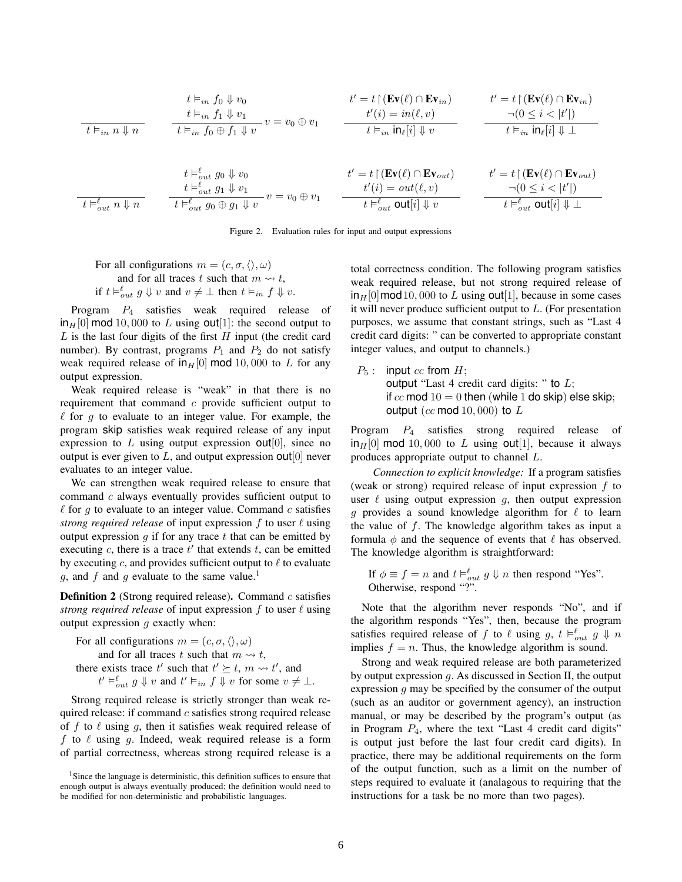$$
\begin{array}{c}\nt \vDash_{in} f_{0} \Downarrow v_{0} \\
t \vDash_{in} f_{1} \Downarrow v_{1} \\
t \vDash_{in} f_{0} \oplus f_{1} \Downarrow v \\
t \vDash_{in} f_{0} \oplus f_{1} \Downarrow v \\
t \vDash_{out} g_{0} \Downarrow v_{0} \\
t \vDash_{out} g_{0} \oplus g_{1} \Downarrow v \\
t \vDash_{out} g_{0} \oplus g_{1} \Downarrow v \\
t \vDash_{out} g_{0} \oplus g_{1} \Downarrow v \\
t \vDash_{out} g_{0} \oplus g_{1} \Downarrow v \\
t \vDash_{out} g_{0} \oplus g_{1} \Downarrow v \\
t \vDash_{out} g_{0} \oplus g_{1} \Downarrow v \\
t \vDash_{out} g_{0} \oplus g_{1} \Downarrow v \\
t \vDash_{out} g_{0} \oplus g_{1} \Downarrow v \\
t \vDash_{out} g_{0} \oplus g_{1} \Downarrow v \\
t \vDash_{out} g_{0} \oplus g_{1} \Downarrow v \\
t \vDash_{out} g_{0} \oplus g_{1} \Downarrow v \\
t \vDash_{out} g_{0} \oplus g_{1} \Downarrow v \\
t \vDash_{out} g_{0} \oplus g_{1} \Downarrow v \\
t \vDash_{out} g_{0} \oplus g_{1} \Downarrow v \\
t \vDash_{out} g_{0} \oplus g_{1} \Downarrow v \\
t \vDash_{out} g_{0} \oplus g_{1} \Downarrow v \\
t \vDash_{out} g_{0} \oplus g_{1} \Downarrow v \\
t \vDash_{out} g_{0} \oplus g_{1} \Downarrow v \\
t \vDash_{out} g_{0} \oplus g_{1} \Downarrow v \\
t \vDash_{out} g_{0} \oplus g_{1} \Downarrow v \\
t \vDash_{out} g_{0} \oplus g_{1} \Downarrow v \\
t \vDash_{out} g_{0} \oplus g_{1} \Downarrow v \\
t \vDash_{out} g_{0} \oplus g_{1} \Downarrow v \\
t \vDash_{out} g_{0} \oplus g_{1} \Downarrow v \\
t \vDash_{out} g_{0} \oplus g_{1} \Downarrow v \\
t \vDash_{out} g_{0} \oplus g_{1} \Downarrow v \\
t \vDash_{out} g_{0} \oplus g_{1} \Downarrow v \\
t \vDash_{out} g_{0} \oplus g_{1} \Downarrow v \\
t \vDash_{out
$$

Figure 2. Evaluation rules for input and output expressions

For all configurations  $m = (c, \sigma, \langle \rangle, \omega)$ and for all traces t such that  $m \rightsquigarrow t$ , if  $t \vDash_{out}^{\ell} g \Downarrow v$  and  $v \neq \bot$  then  $t \vDash_{in} f \Downarrow v$ .

Program  $P_4$  satisfies weak required release of  $\ln_H[0]$  mod 10, 000 to L using out[1]: the second output to  $L$  is the last four digits of the first  $H$  input (the credit card number). By contrast, programs  $P_1$  and  $P_2$  do not satisfy weak required release of  $\ln_H[0]$  mod 10, 000 to L for any output expression.

Weak required release is "weak" in that there is no requirement that command c provide sufficient output to  $\ell$  for g to evaluate to an integer value. For example, the program skip satisfies weak required release of any input expression to L using output expression  $\text{out}[0]$ , since no output is ever given to  $L$ , and output expression out [0] never evaluates to an integer value.

We can strengthen weak required release to ensure that command c always eventually provides sufficient output to  $\ell$  for g to evaluate to an integer value. Command c satisfies *strong required release* of input expression  $f$  to user  $\ell$  using output expression  $q$  if for any trace  $t$  that can be emitted by executing  $c$ , there is a trace  $t'$  that extends  $t$ , can be emitted by executing c, and provides sufficient output to  $\ell$  to evaluate g, and f and g evaluate to the same value.<sup>1</sup>

**Definition 2** (Strong required release). Command  $c$  satisfies *strong required release* of input expression  $f$  to user  $\ell$  using output expression  $g$  exactly when:

For all configurations 
$$
m = (c, \sigma, \langle \rangle, \omega)
$$
  
and for all traces t such that  $m \leadsto t$ ,  
there exists trace t' such that  $t' \succeq t$ ,  $m \leadsto t'$ , and  
 $t' \vDash_{out}^{\ell} g \Downarrow v$  and  $t' \vDash_{in} f \Downarrow v$  for some  $v \neq \bot$ .

Strong required release is strictly stronger than weak required release: if command  $c$  satisfies strong required release of f to  $\ell$  using q, then it satisfies weak required release of f to  $\ell$  using g. Indeed, weak required release is a form of partial correctness, whereas strong required release is a total correctness condition. The following program satisfies weak required release, but not strong required release of  $\ln_H[0]$  mod 10, 000 to L using out [1], because in some cases it will never produce sufficient output to L. (For presentation purposes, we assume that constant strings, such as "Last 4 credit card digits: " can be converted to appropriate constant integer values, and output to channels.)

 $P_5$ : input cc from  $H$ ;

output "Last 4 credit card digits: " to  $L$ ; if  $cc$  mod  $10 = 0$  then (while 1 do skip) else skip; output  $(cc \mod 10,000)$  to  $L$ 

Program P<sup>4</sup> satisfies strong required release of  $\ln_H[0]$  mod 10,000 to L using out [1], because it always produces appropriate output to channel L.

*Connection to explicit knowledge:* If a program satisfies (weak or strong) required release of input expression  $f$  to user  $\ell$  using output expression q, then output expression g provides a sound knowledge algorithm for  $\ell$  to learn the value of f. The knowledge algorithm takes as input a formula  $\phi$  and the sequence of events that  $\ell$  has observed. The knowledge algorithm is straightforward:

If  $\phi \equiv f = n$  and  $t \vDash_{out}^{\ell} g \Downarrow n$  then respond "Yes". Otherwise, respond "?".

Note that the algorithm never responds "No", and if the algorithm responds "Yes", then, because the program satisfies required release of f to  $\ell$  using g,  $t \vDash^{\ell}_{out} g \Downarrow n$ implies  $f = n$ . Thus, the knowledge algorithm is sound.

Strong and weak required release are both parameterized by output expression g. As discussed in Section II, the output expression  $g$  may be specified by the consumer of the output (such as an auditor or government agency), an instruction manual, or may be described by the program's output (as in Program  $P_4$ , where the text "Last 4 credit card digits" is output just before the last four credit card digits). In practice, there may be additional requirements on the form of the output function, such as a limit on the number of steps required to evaluate it (analagous to requiring that the instructions for a task be no more than two pages).

<sup>&</sup>lt;sup>1</sup>Since the language is deterministic, this definition suffices to ensure that enough output is always eventually produced; the definition would need to be modified for non-deterministic and probabilistic languages.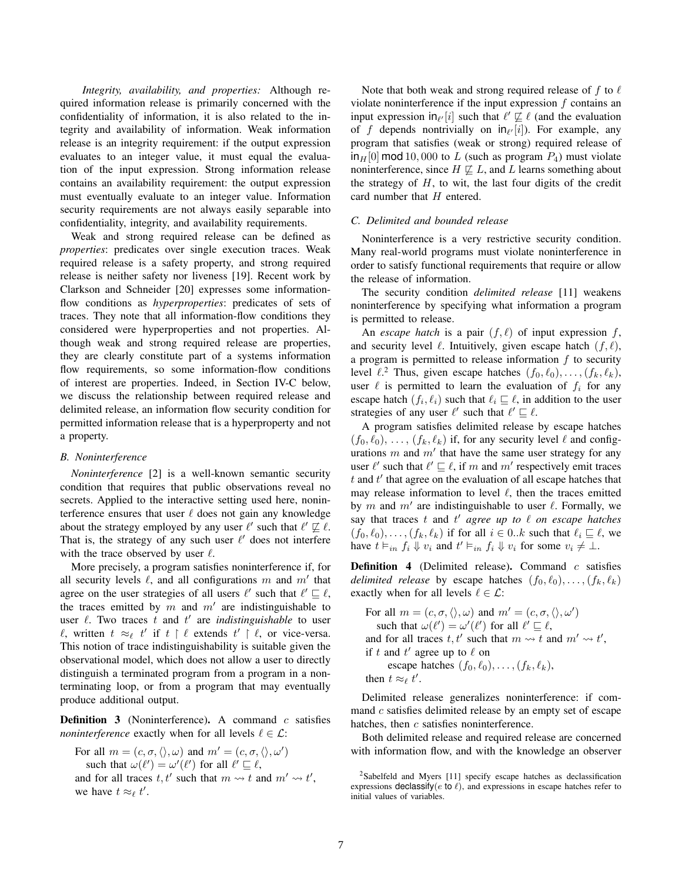*Integrity, availability, and properties:* Although required information release is primarily concerned with the confidentiality of information, it is also related to the integrity and availability of information. Weak information release is an integrity requirement: if the output expression evaluates to an integer value, it must equal the evaluation of the input expression. Strong information release contains an availability requirement: the output expression must eventually evaluate to an integer value. Information security requirements are not always easily separable into confidentiality, integrity, and availability requirements.

Weak and strong required release can be defined as *properties*: predicates over single execution traces. Weak required release is a safety property, and strong required release is neither safety nor liveness [19]. Recent work by Clarkson and Schneider [20] expresses some informationflow conditions as *hyperproperties*: predicates of sets of traces. They note that all information-flow conditions they considered were hyperproperties and not properties. Although weak and strong required release are properties, they are clearly constitute part of a systems information flow requirements, so some information-flow conditions of interest are properties. Indeed, in Section IV-C below, we discuss the relationship between required release and delimited release, an information flow security condition for permitted information release that is a hyperproperty and not a property.

# *B. Noninterference*

*Noninterference* [2] is a well-known semantic security condition that requires that public observations reveal no secrets. Applied to the interactive setting used here, noninterference ensures that user  $\ell$  does not gain any knowledge about the strategy employed by any user  $\ell'$  such that  $\ell' \not\sqsubseteq \ell$ . That is, the strategy of any such user  $\ell'$  does not interfere with the trace observed by user  $\ell$ .

More precisely, a program satisfies noninterference if, for all security levels  $\ell$ , and all configurations m and m' that agree on the user strategies of all users  $\ell'$  such that  $\ell' \sqsubseteq \ell$ , the traces emitted by  $m$  and  $m'$  are indistinguishable to user  $\ell$ . Two traces  $t$  and  $t'$  are *indistinguishable* to user  $\ell$ , written  $t \approx_{\ell} t'$  if  $t \restriction \ell$  extends  $t' \restriction \ell$ , or vice-versa. This notion of trace indistinguishability is suitable given the observational model, which does not allow a user to directly distinguish a terminated program from a program in a nonterminating loop, or from a program that may eventually produce additional output.

**Definition 3** (Noninterference). A command  $c$  satisfies *noninterference* exactly when for all levels  $\ell \in \mathcal{L}$ :

For all  $m = (c, \sigma, \langle \rangle, \omega)$  and  $m' = (c, \sigma, \langle \rangle, \omega')$ such that  $\omega(\ell') = \omega'(\ell')$  for all  $\ell' \sqsubseteq \ell$ , and for all traces  $t, t'$  such that  $m \rightsquigarrow t$  and  $m' \rightsquigarrow t'$ , we have  $t \approx_{\ell} t'$ .

Note that both weak and strong required release of  $f$  to  $\ell$ violate noninterference if the input expression  $f$  contains an input expression  $\text{in}_{\ell'}[i]$  such that  $\ell' \not\sqsubseteq \ell$  (and the evaluation of f depends nontrivially on  $\text{in}_{\ell'}[i]$ ). For example, any program that satisfies (weak or strong) required release of  $\ln_H[0]$  mod 10, 000 to L (such as program  $P_4$ ) must violate noninterference, since  $H \not\sqsubseteq L$ , and L learns something about the strategy of  $H$ , to wit, the last four digits of the credit card number that  $H$  entered.

# *C. Delimited and bounded release*

Noninterference is a very restrictive security condition. Many real-world programs must violate noninterference in order to satisfy functional requirements that require or allow the release of information.

The security condition *delimited release* [11] weakens noninterference by specifying what information a program is permitted to release.

An *escape hatch* is a pair  $(f, \ell)$  of input expression f, and security level  $\ell$ . Intuitively, given escape hatch  $(f, \ell)$ , a program is permitted to release information  $f$  to security level  $\ell$ .<sup>2</sup> Thus, given escape hatches  $(f_0, \ell_0), \ldots, (f_k, \ell_k)$ , user  $\ell$  is permitted to learn the evaluation of  $f_i$  for any escape hatch  $(f_i, \ell_i)$  such that  $\ell_i \sqsubseteq \ell$ , in addition to the user strategies of any user  $\ell'$  such that  $\ell' \sqsubseteq \ell$ .

A program satisfies delimited release by escape hatches  $(f_0, \ell_0), \ldots, (f_k, \ell_k)$  if, for any security level  $\ell$  and configurations  $m$  and  $m'$  that have the same user strategy for any user  $\ell'$  such that  $\ell' \sqsubseteq \ell$ , if m and m' respectively emit traces  $t$  and  $t'$  that agree on the evaluation of all escape hatches that may release information to level  $\ell$ , then the traces emitted by m and  $m'$  are indistinguishable to user  $\ell$ . Formally, we say that traces  $t$  and  $t'$  *agree up to*  $\ell$  *on escape hatches*  $(f_0, \ell_0), \ldots, (f_k, \ell_k)$  if for all  $i \in 0..k$  such that  $\ell_i \sqsubseteq \ell$ , we have  $t \vDash_{in} f_i \Downarrow v_i$  and  $t' \vDash_{in} f_i \Downarrow v_i$  for some  $v_i \neq \bot$ .

**Definition 4** (Delimited release). Command  $c$  satisfies *delimited release* by escape hatches  $(f_0, \ell_0), \ldots, (f_k, \ell_k)$ exactly when for all levels  $\ell \in \mathcal{L}$ :

For all  $m = (c, \sigma, \langle \rangle, \omega)$  and  $m' = (c, \sigma, \langle \rangle, \omega')$ such that  $\omega(\ell') = \omega'(\ell')$  for all  $\ell' \sqsubseteq \ell$ , and for all traces  $t, t'$  such that  $m \rightsquigarrow t$  and  $m' \rightsquigarrow t'$ , if t and  $t'$  agree up to  $\ell$  on escape hatches  $(f_0, \ell_0), \ldots, (f_k, \ell_k),$ then  $t \approx_{\ell} t'$ .

Delimited release generalizes noninterference: if command c satisfies delimited release by an empty set of escape hatches, then c satisfies noninterference.

Both delimited release and required release are concerned with information flow, and with the knowledge an observer

<sup>2</sup>Sabelfeld and Myers [11] specify escape hatches as declassification expressions declassify( $e$  to  $\ell$ ), and expressions in escape hatches refer to initial values of variables.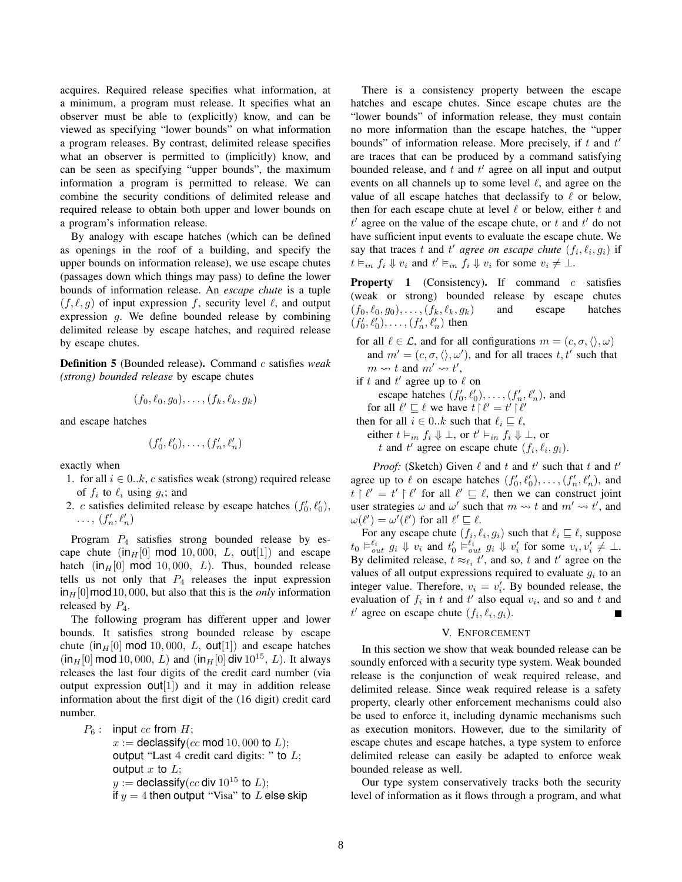acquires. Required release specifies what information, at a minimum, a program must release. It specifies what an observer must be able to (explicitly) know, and can be viewed as specifying "lower bounds" on what information a program releases. By contrast, delimited release specifies what an observer is permitted to (implicitly) know, and can be seen as specifying "upper bounds", the maximum information a program is permitted to release. We can combine the security conditions of delimited release and required release to obtain both upper and lower bounds on a program's information release.

By analogy with escape hatches (which can be defined as openings in the roof of a building, and specify the upper bounds on information release), we use escape chutes (passages down which things may pass) to define the lower bounds of information release. An *escape chute* is a tuple  $(f, \ell, q)$  of input expression f, security level  $\ell$ , and output expression g. We define bounded release by combining delimited release by escape hatches, and required release by escape chutes.

Definition 5 (Bounded release). Command c satisfies *weak (strong) bounded release* by escape chutes

$$
(f_0,\ell_0,g_0),\ldots,(f_k,\ell_k,g_k)
$$

and escape hatches

$$
(f'_0,\ell'_0),\ldots,(f'_n,\ell'_n)
$$

exactly when

- 1. for all  $i \in 0..k$ , c satisfies weak (strong) required release of  $f_i$  to  $\ell_i$  using  $g_i$ ; and
- 2. c satisfies delimited release by escape hatches  $(f'_0, \ell'_0)$ ,  $\ldots, (f'_n, \ell'_n)$

Program  $P_4$  satisfies strong bounded release by escape chute ( $\ln_H[0]$  mod 10, 000, L, out[1]) and escape hatch ( $\ln_H[0]$  mod 10, 000, L). Thus, bounded release tells us not only that  $P_4$  releases the input expression  $\ln_H[0]$  mod 10, 000, but also that this is the *only* information released by  $P_4$ .

The following program has different upper and lower bounds. It satisfies strong bounded release by escape chute (in<sub>H</sub>[0] mod 10, 000, L, out[1]) and escape hatches  $(\text{in}_{H}[0] \text{ mod } 10, 000, L)$  and  $(\text{in}_{H}[0] \text{ div } 10^{15}, L)$ . It always releases the last four digits of the credit card number (via output expression  $out[1]$  and it may in addition release information about the first digit of the (16 digit) credit card number.

$$
P_6
$$
: input *cc* from *H*;  
\n $x := \text{declassify}(cc \mod 10,000 \text{ to } L);$   
\noutput "Last 4 credit card digits: " to *L*;  
\noutput *x* to *L*;  
\n $y := \text{declassify}(cc \text{ div } 10^{15} \text{ to } L);$   
\nif  $y = 4$  then output "Visa" to *L* else skip

There is a consistency property between the escape hatches and escape chutes. Since escape chutes are the "lower bounds" of information release, they must contain no more information than the escape hatches, the "upper bounds" of information release. More precisely, if  $t$  and  $t'$ are traces that can be produced by a command satisfying bounded release, and  $t$  and  $t'$  agree on all input and output events on all channels up to some level  $\ell$ , and agree on the value of all escape hatches that declassify to  $\ell$  or below, then for each escape chute at level  $\ell$  or below, either t and  $t'$  agree on the value of the escape chute, or t and  $t'$  do not have sufficient input events to evaluate the escape chute. We say that traces t and t' agree on escape chute  $(f_i, \ell_i, g_i)$  if  $t \vDash_{in} f_i \Downarrow v_i$  and  $t' \vDash_{in} f_i \Downarrow v_i$  for some  $v_i \neq \bot$ .

**Property 1** (Consistency). If command  $c$  satisfies (weak or strong) bounded release by escape chutes  $(f_0, \ell_0, g_0), \ldots, (f_k, \ell_k, g_k)$  and escape hatches  $(f'_0, \ell'_0), \ldots, (f'_n, \ell'_n)$  then

for all  $\ell \in \mathcal{L}$ , and for all configurations  $m = (c, \sigma, \langle \rangle, \omega)$ and  $m' = (c, \sigma, \langle \rangle, \omega')$ , and for all traces  $t, t'$  such that  $m \rightsquigarrow t$  and  $m' \rightsquigarrow t'$ ,

if t and  $t'$  agree up to  $\ell$  on

escape hatches  $(f'_0, \ell'_0), \ldots, (f'_n, \ell'_n)$ , and

for all  $\ell' \sqsubseteq \ell$  we have  $t \upharpoonright \ell' = t' \upharpoonright \ell'$ 

then for all  $i \in 0..k$  such that  $\ell_i \sqsubseteq \ell$ ,

either  $t \vDash_{in} f_i \Downarrow \bot$ , or  $t' \vDash_{in} f_i \Downarrow \bot$ , or

t and t' agree on escape chute  $(f_i, \ell_i, g_i)$ .

*Proof:* (Sketch) Given  $\ell$  and  $t$  and  $t'$  such that  $t$  and  $t'$ agree up to  $\ell$  on escape hatches  $(f'_0, \ell'_0), \ldots, (f'_n, \ell'_n)$ , and  $t \restriction \ell' = t' \restriction \ell'$  for all  $\ell' \sqsubseteq \ell$ , then we can construct joint user strategies  $\omega$  and  $\omega'$  such that  $m \leadsto t$  and  $m' \leadsto t'$ , and  $\omega(\ell') = \omega'(\ell')$  for all  $\ell' \sqsubseteq \ell$ .

For any escape chute  $(f_i, \ell_i, g_i)$  such that  $\ell_i \sqsubseteq \ell$ , suppose  $t_0 \vDash_{out}^{\ell_i} g_i \Downarrow v_i$  and  $t'_0 \vDash_{out}^{\ell_i} g_i \Downarrow v'_i$  for some  $v_i, v'_i \neq \bot$ . By delimited release,  $t \approx_{\ell_i} t'$ , and so, t and  $t'$  agree on the values of all output expressions required to evaluate  $g_i$  to an integer value. Therefore,  $v_i = v'_i$ . By bounded release, the evaluation of  $f_i$  in t and t' also equal  $v_i$ , and so and t and  $t'$  agree on escape chute  $(f_i, \ell_i, g_i)$ .

#### V. ENFORCEMENT

In this section we show that weak bounded release can be soundly enforced with a security type system. Weak bounded release is the conjunction of weak required release, and delimited release. Since weak required release is a safety property, clearly other enforcement mechanisms could also be used to enforce it, including dynamic mechanisms such as execution monitors. However, due to the similarity of escape chutes and escape hatches, a type system to enforce delimited release can easily be adapted to enforce weak bounded release as well.

Our type system conservatively tracks both the security level of information as it flows through a program, and what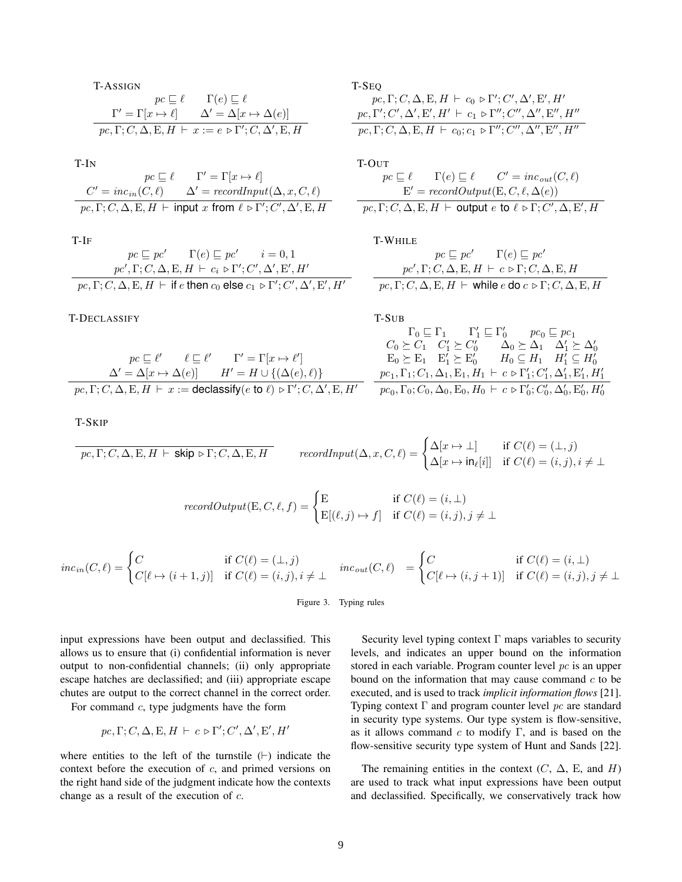T-ASSIGN

$$
pc \sqsubseteq \ell \qquad \Gamma(e) \sqsubseteq \ell
$$

$$
\Gamma' = \Gamma[x \mapsto \ell] \qquad \Delta' = \Delta[x \mapsto \Delta(e)]
$$

$$
pc, \Gamma; C, \Delta, E, H \vdash x := e \triangleright \Gamma'; C, \Delta', E, H
$$

T-IN

 $pc \sqsubseteq \ell \qquad \Gamma' = \Gamma[x \mapsto \ell]$  $C' = inc_{in}(C, \ell)$   $\Delta' = recordInput(\Delta, x, C, \ell)$  $pc, \Gamma, C, \Delta, E, H \vdash$  input x from  $\ell \triangleright \Gamma'; C', \Delta', E, H$ 

T-IF

$$
pc \sqsubseteq pc' \qquad \Gamma(e) \sqsubseteq pc' \qquad i = 0, 1
$$

$$
pc', \Gamma; C, \Delta, \mathcal{E}, H \vdash c_i \triangleright \Gamma'; C', \Delta', \mathcal{E}', H'
$$

$$
pc, \Gamma; C, \Delta, \mathcal{E}, H \vdash \text{if } e \text{ then } c_0 \text{ else } c_1 \triangleright \Gamma'; C', \Delta', \mathcal{E}', H'
$$

T-DECLASSIFY

$$
pc \sqsubseteq \ell' \qquad \ell \sqsubseteq \ell' \qquad \Gamma' = \Gamma[x \mapsto \ell']
$$

$$
\Delta' = \Delta[x \mapsto \Delta(e)] \qquad H' = H \cup \{ (\Delta(e), \ell) \}
$$

$$
pc, \Gamma; C, \Delta, E, H \vdash x := \text{declassify}(e \text{ to } \ell) \triangleright \Gamma'; C, \Delta', E, H'
$$

T-SEQ  $pc, \Gamma, C, \Delta, E, H \vdash c_0 \triangleright \Gamma'; C', \Delta', E', H'$ 

$$
pc, \Gamma'; C', \Delta', E', H' \vdash c_1 \triangleright \Gamma'', C'', \Delta'', E'', H''
$$
  

$$
pc, \Gamma; C, \Delta, E, H \vdash c_0; c_1 \triangleright \Gamma'', C'', \Delta'', E'', H''
$$

T-OUT

$$
pc \sqsubseteq \ell \qquad \Gamma(e) \sqsubseteq \ell \qquad C' = inc_{out}(C, \ell)
$$

$$
\mathbf{E'} = recordOutput(\mathbf{E}, C, \ell, \Delta(e))
$$

$$
pc, \Gamma; C, \Delta, \mathbf{E}, H \vdash output \ e \ to \ \ell \triangleright \Gamma; C', \Delta, \mathbf{E'}, H
$$

T-WHILE

$$
pc \sqsubseteq pc' \qquad \Gamma(e) \sqsubseteq pc'
$$

$$
pc', \Gamma; C, \Delta, \mathcal{E}, H \vdash c \triangleright \Gamma; C, \Delta, \mathcal{E}, H
$$

$$
pc, \Gamma; C, \Delta, \mathcal{E}, H \vdash \text{while } e \text{ do } c \triangleright \Gamma; C, \Delta, \mathcal{E}, H
$$

T-SUB

$$
\Gamma_0 \subseteq \Gamma_1 \qquad \Gamma'_1 \subseteq \Gamma'_0 \qquad pc_0 \subseteq pc_1 \nC_0 \succeq C_1 \quad C'_1 \succeq C'_0 \qquad \Delta_0 \succeq \Delta_1 \quad \Delta'_1 \succeq \Delta'_0 \nE_0 \succeq E_1 \quad E'_1 \succeq E'_0 \qquad H_0 \subseteq H_1 \quad H'_1 \subseteq H'_0 \npc_1, \Gamma_1; C_1, \Delta_1, E_1, H_1 \vdash c \rhd \Gamma'_1; C'_1, \Delta'_1, E'_1, H'_1 \npc_0, \Gamma_0; C_0, \Delta_0, E_0, H_0 \vdash c \rhd \Gamma'_0; C'_0, \Delta'_0, E'_0, H'_0
$$

T-SKIP

$$
\overline{pc, \Gamma; C, \Delta, \mathbf{E}, H \vdash \mathsf{skip} \triangleright \Gamma; C, \Delta, \mathbf{E}, H} \qquad \text{recordInput}(\Delta, x, C, \ell) = \begin{cases} \Delta[x \mapsto \bot] & \text{if } C(\ell) = (\bot, j) \\ \Delta[x \mapsto \mathsf{in}_{\ell}[i]] & \text{if } C(\ell) = (i, j), i \neq \bot \end{cases}
$$

$$
recordOutput(\mathbf{E}, C, \ell, f) = \begin{cases} \mathbf{E} & \text{if } C(\ell) = (i, \bot) \\ \mathbf{E}[(\ell, j) \mapsto f] & \text{if } C(\ell) = (i, j), j \neq \bot \end{cases}
$$

$$
inc_{in}(C,\ell) = \begin{cases} C & \text{if } C(\ell) = (\bot,j) \\ C[\ell \mapsto (i+1,j)] & \text{if } C(\ell) = (i,j), i \neq \bot \end{cases} \quad inc_{out}(C,\ell) = \begin{cases} C & \text{if } C(\ell) = (i,\bot) \\ C[\ell \mapsto (i,j+1)] & \text{if } C(\ell) = (i,j), j \neq \bot \end{cases}
$$

Figure 3. Typing rules

input expressions have been output and declassified. This allows us to ensure that (i) confidential information is never output to non-confidential channels; (ii) only appropriate escape hatches are declassified; and (iii) appropriate escape chutes are output to the correct channel in the correct order.

For command  $c$ , type judgments have the form

$$
pc, \Gamma; C, \Delta, E, H \vdash c \triangleright \Gamma'; C', \Delta', E', H'
$$

where entities to the left of the turnstile  $(+)$  indicate the context before the execution of c, and primed versions on the right hand side of the judgment indicate how the contexts change as a result of the execution of c.

Security level typing context  $\Gamma$  maps variables to security levels, and indicates an upper bound on the information stored in each variable. Program counter level  $pc$  is an upper bound on the information that may cause command  $c$  to be executed, and is used to track *implicit information flows* [21]. Typing context  $\Gamma$  and program counter level pc are standard in security type systems. Our type system is flow-sensitive, as it allows command  $c$  to modify Γ, and is based on the flow-sensitive security type system of Hunt and Sands [22].

The remaining entities in the context  $(C, \Delta, E, \text{ and } H)$ are used to track what input expressions have been output and declassified. Specifically, we conservatively track how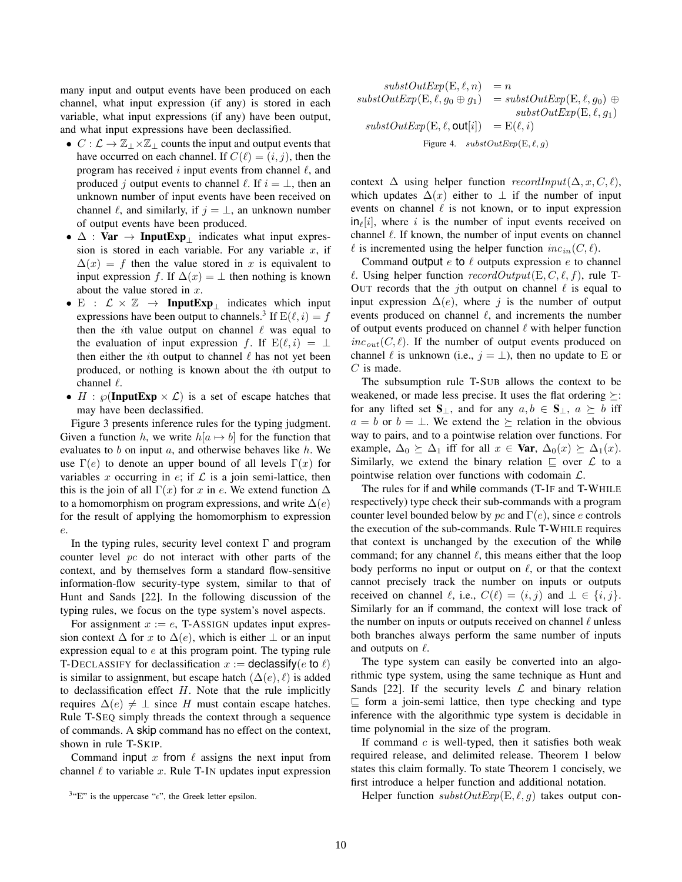many input and output events have been produced on each channel, what input expression (if any) is stored in each variable, what input expressions (if any) have been output, and what input expressions have been declassified.

- $C: \mathcal{L} \to \mathbb{Z}_{\perp} \times \mathbb{Z}_{\perp}$  counts the input and output events that have occurred on each channel. If  $C(\ell) = (i, j)$ , then the program has received i input events from channel  $\ell$ , and produced j output events to channel  $\ell$ . If  $i = \bot$ , then an unknown number of input events have been received on channel  $\ell$ , and similarly, if  $j = \perp$ , an unknown number of output events have been produced.
- $\Delta$  : Var  $\rightarrow$  InputExp<sub>⊥</sub> indicates what input expression is stored in each variable. For any variable  $x$ , if  $\Delta(x) = f$  then the value stored in x is equivalent to input expression f. If  $\Delta(x) = \bot$  then nothing is known about the value stored in  $x$ .
- E :  $\mathcal{L} \times \mathbb{Z} \rightarrow$  InputExp<sub>⊥</sub> indicates which input expressions have been output to channels.<sup>3</sup> If  $E(\ell, i) = f$ then the *i*th value output on channel  $\ell$  was equal to the evaluation of input expression f. If  $E(\ell, i) = \perp$ then either the *i*th output to channel  $\ell$  has not yet been produced, or nothing is known about the ith output to channel  $\ell$ .
- $H : \wp(\text{InputExp} \times \mathcal{L})$  is a set of escape hatches that may have been declassified.

Figure 3 presents inference rules for the typing judgment. Given a function h, we write  $h[a \mapsto b]$  for the function that evaluates to  $b$  on input  $a$ , and otherwise behaves like  $h$ . We use  $\Gamma(e)$  to denote an upper bound of all levels  $\Gamma(x)$  for variables x occurring in  $e$ ; if  $\mathcal L$  is a join semi-lattice, then this is the join of all  $\Gamma(x)$  for x in e. We extend function  $\Delta$ to a homomorphism on program expressions, and write  $\Delta(e)$ for the result of applying the homomorphism to expression e.

In the typing rules, security level context  $\Gamma$  and program counter level pc do not interact with other parts of the context, and by themselves form a standard flow-sensitive information-flow security-type system, similar to that of Hunt and Sands [22]. In the following discussion of the typing rules, we focus on the type system's novel aspects.

For assignment  $x := e$ , T-ASSIGN updates input expression context  $\Delta$  for x to  $\Delta(e)$ , which is either  $\perp$  or an input expression equal to e at this program point. The typing rule T-DECLASSIFY for declassification  $x :=$  declassify(e to  $\ell$ ) is similar to assignment, but escape hatch  $(\Delta(e), \ell)$  is added to declassification effect  $H$ . Note that the rule implicitly requires  $\Delta(e) \neq \bot$  since H must contain escape hatches. Rule T-SEQ simply threads the context through a sequence of commands. A skip command has no effect on the context, shown in rule T-SKIP.

Command input x from  $\ell$  assigns the next input from channel  $\ell$  to variable x. Rule T-IN updates input expression

 $substOutExp(E, \ell, n) = n$  $substOutExp(E, \ell, g_0 \oplus g_1) = substOutExp(E, \ell, g_0) \oplus$  $substOutExp(E, \ell, g_1)$  $substOutExp(E, \ell, \text{out}[i]) = E(\ell, i)$ Figure 4.  $substOutExp(E, \ell, g)$ 

context  $\Delta$  using helper function recordInput( $\Delta$ , x, C,  $\ell$ ), which updates  $\Delta(x)$  either to  $\perp$  if the number of input events on channel  $\ell$  is not known, or to input expression  $\ln_{\ell}[i]$ , where i is the number of input events received on channel  $\ell$ . If known, the number of input events on channel  $\ell$  is incremented using the helper function  $inc_{in}(C, \ell)$ .

Command output  $e$  to  $\ell$  outputs expression  $e$  to channel  $\ell$ . Using helper function recordOutput(E, C,  $\ell$ , f), rule T-OUT records that the *j*th output on channel  $\ell$  is equal to input expression  $\Delta(e)$ , where j is the number of output events produced on channel  $\ell$ , and increments the number of output events produced on channel  $\ell$  with helper function  $inc_{out}(C, \ell)$ . If the number of output events produced on channel  $\ell$  is unknown (i.e.,  $j = \perp$ ), then no update to E or  $C$  is made.

The subsumption rule T-SUB allows the context to be weakened, or made less precise. It uses the flat ordering  $\succeq$ : for any lifted set  $S_{\perp}$ , and for any  $a, b \in S_{\perp}$ ,  $a \succeq b$  iff  $a = b$  or  $b = \perp$ . We extend the  $\succeq$  relation in the obvious way to pairs, and to a pointwise relation over functions. For example,  $\Delta_0 \succeq \Delta_1$  iff for all  $x \in \text{Var}$ ,  $\Delta_0(x) \succeq \Delta_1(x)$ . Similarly, we extend the binary relation  $\subseteq$  over  $\mathcal L$  to a pointwise relation over functions with codomain  $\mathcal{L}$ .

The rules for if and while commands (T-IF and T-WHILE respectively) type check their sub-commands with a program counter level bounded below by pc and  $\Gamma(e)$ , since e controls the execution of the sub-commands. Rule T-WHILE requires that context is unchanged by the execution of the while command; for any channel  $\ell$ , this means either that the loop body performs no input or output on  $\ell$ , or that the context cannot precisely track the number on inputs or outputs received on channel  $\ell$ , i.e.,  $C(\ell) = (i, j)$  and  $\bot \in \{i, j\}.$ Similarly for an if command, the context will lose track of the number on inputs or outputs received on channel  $\ell$  unless both branches always perform the same number of inputs and outputs on  $\ell$ .

The type system can easily be converted into an algorithmic type system, using the same technique as Hunt and Sands [22]. If the security levels  $\mathcal L$  and binary relation  $\subseteq$  form a join-semi lattice, then type checking and type inference with the algorithmic type system is decidable in time polynomial in the size of the program.

If command  $c$  is well-typed, then it satisfies both weak required release, and delimited release. Theorem 1 below states this claim formally. To state Theorem 1 concisely, we first introduce a helper function and additional notation.

Helper function  $\textit{substOutExp}(E, \ell, g)$  takes output con-

 $3$ "E" is the uppercase " $\epsilon$ ", the Greek letter epsilon.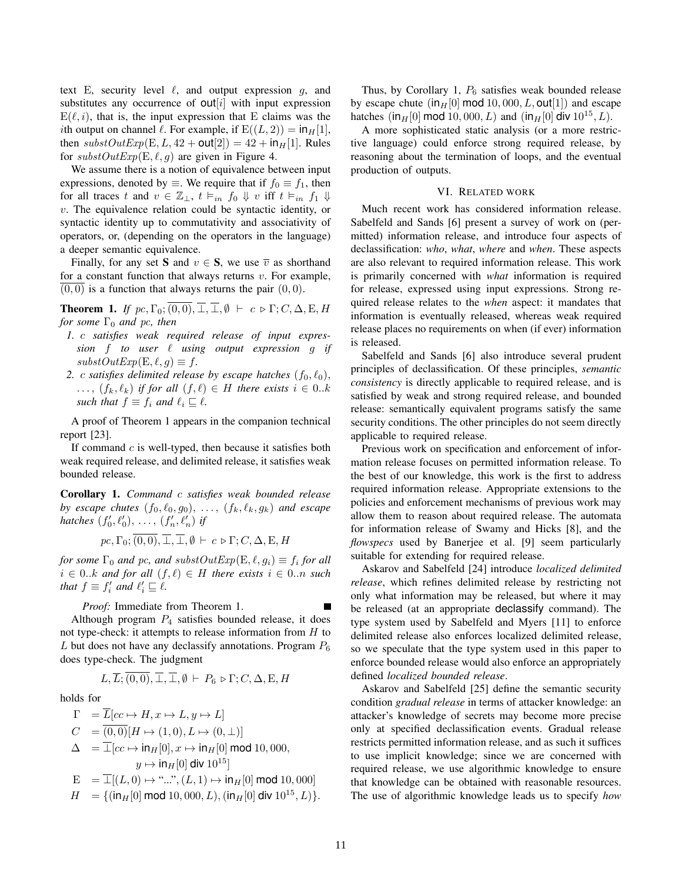text E, security level  $\ell$ , and output expression g, and substitutes any occurrence of  $\text{out}[i]$  with input expression  $E(\ell, i)$ , that is, the input expression that E claims was the ith output on channel  $\ell$ . For example, if  $E((L, 2)) = \text{in}_{H}[1],$ then  $\textit{substOutExp}(E, L, 42 + \textit{out}[2]) = 42 + \textit{in}_H[1]$ . Rules for  $\textit{substOutExp}(E, \ell, g)$  are given in Figure 4.

We assume there is a notion of equivalence between input expressions, denoted by  $\equiv$ . We require that if  $f_0 \equiv f_1$ , then for all traces t and  $v \in \mathbb{Z}_+$ ,  $t \vDash_{in} f_0 \Downarrow v$  iff  $t \vDash_{in} f_1 \Downarrow$ v. The equivalence relation could be syntactic identity, or syntactic identity up to commutativity and associativity of operators, or, (depending on the operators in the language) a deeper semantic equivalence.

Finally, for any set S and  $v \in S$ , we use  $\overline{v}$  as shorthand for a constant function that always returns  $v$ . For example,  $(0, 0)$  is a function that always returns the pair  $(0, 0)$ .

**Theorem 1.** *If*  $pc, \Gamma_0; (0, 0), \overline{\perp}, \overline{\perp}, \emptyset \vdash c \triangleright \Gamma; C, \Delta, E, H$ *for some*  $\Gamma_0$  *and pc*, *then* 

- *1.* c *satisfies weak required release of input expres* $sion$   $f$   $to$   $user$   $\ell$   $using$   $output$  expression  $g$  if  $\textit{substOutExp}(E, \ell, g) \equiv f.$
- 2. c *satisfies delimited release by escape hatches*  $(f_0, \ell_0)$ , ...,  $(f_k, \ell_k)$  *if for all*  $(f, \ell) \in H$  *there exists*  $i \in 0..k$ *such that*  $f \equiv f_i$  *and*  $\ell_i \sqsubseteq \ell$ *.*

A proof of Theorem 1 appears in the companion technical report [23].

If command  $c$  is well-typed, then because it satisfies both weak required release, and delimited release, it satisfies weak bounded release.

Corollary 1. *Command* c *satisfies weak bounded release by escape chutes*  $(f_0, \ell_0, g_0), \ldots, (f_k, \ell_k, g_k)$  *and escape hatches*  $(f'_0, \ell'_0), \ldots, (f'_n, \ell'_n)$  *if* 

$$
pc, \Gamma_0; \overline{(0,0)}, \overline{\perp}, \overline{\perp}, \emptyset \vdash c \triangleright \Gamma; C, \Delta, E, H
$$

*for some*  $\Gamma_0$  *and pc, and substOutExp*( $\mathrm{E}, \ell, g_i$ )  $\equiv f_i$  *for all*  $i \in 0..k$  *and for all*  $(f, \ell) \in H$  *there exists*  $i \in 0..n$  *such that*  $f \equiv f'_i$  *and*  $\ell'_i \sqsubseteq \ell$ *.* 

*Proof:* Immediate from Theorem 1.

Although program  $P_4$  satisfies bounded release, it does not type-check: it attempts to release information from  $H$  to L but does not have any declassify annotations. Program  $P_6$ does type-check. The judgment

$$
L, \overline{L}; (0,0), \overline{\perp}, \overline{\perp}, \emptyset \vdash P_6 \triangleright \Gamma; C, \Delta, E, H
$$

holds for

- $\Gamma = \overline{L}[cc \mapsto H, x \mapsto L, y \mapsto L]$  $C = \overline{(0,0)}[H \mapsto (1,0), L \mapsto (0,\perp)]$  $\Delta = \overline{\perp}|cc \mapsto \text{in}_H[0], x \mapsto \text{in}_H[0] \text{ mod } 10,000,$  $y \mapsto \ln_H[0]$  div  $10^{15}$ ]  $E = \overline{\perp}(L, 0) \mapsto$  "...",  $(L, 1) \mapsto \text{in}_H[0] \text{ mod } 10, 000]$
- $H = \{(\text{in}_H[0] \text{ mod } 10,000, L), (\text{in}_H[0] \text{ div } 10^{15}, L)\}.$

Thus, by Corollary 1,  $P_6$  satisfies weak bounded release by escape chute  $(in_H[0] \text{ mod } 10, 000, L, \text{out}[1])$  and escape hatches (in<sub>H</sub>[0] mod 10, 000, L) and (in<sub>H</sub>[0] div  $10^{15}$ , L).

A more sophisticated static analysis (or a more restrictive language) could enforce strong required release, by reasoning about the termination of loops, and the eventual production of outputs.

#### VI. RELATED WORK

Much recent work has considered information release. Sabelfeld and Sands [6] present a survey of work on (permitted) information release, and introduce four aspects of declassification: *who*, *what*, *where* and *when*. These aspects are also relevant to required information release. This work is primarily concerned with *what* information is required for release, expressed using input expressions. Strong required release relates to the *when* aspect: it mandates that information is eventually released, whereas weak required release places no requirements on when (if ever) information is released.

Sabelfeld and Sands [6] also introduce several prudent principles of declassification. Of these principles, *semantic consistency* is directly applicable to required release, and is satisfied by weak and strong required release, and bounded release: semantically equivalent programs satisfy the same security conditions. The other principles do not seem directly applicable to required release.

Previous work on specification and enforcement of information release focuses on permitted information release. To the best of our knowledge, this work is the first to address required information release. Appropriate extensions to the policies and enforcement mechanisms of previous work may allow them to reason about required release. The automata for information release of Swamy and Hicks [8], and the *flowspecs* used by Banerjee et al. [9] seem particularly suitable for extending for required release.

Askarov and Sabelfeld [24] introduce *localized delimited release*, which refines delimited release by restricting not only what information may be released, but where it may be released (at an appropriate declassify command). The type system used by Sabelfeld and Myers [11] to enforce delimited release also enforces localized delimited release, so we speculate that the type system used in this paper to enforce bounded release would also enforce an appropriately defined *localized bounded release*.

Askarov and Sabelfeld [25] define the semantic security condition *gradual release* in terms of attacker knowledge: an attacker's knowledge of secrets may become more precise only at specified declassification events. Gradual release restricts permitted information release, and as such it suffices to use implicit knowledge; since we are concerned with required release, we use algorithmic knowledge to ensure that knowledge can be obtained with reasonable resources. The use of algorithmic knowledge leads us to specify *how*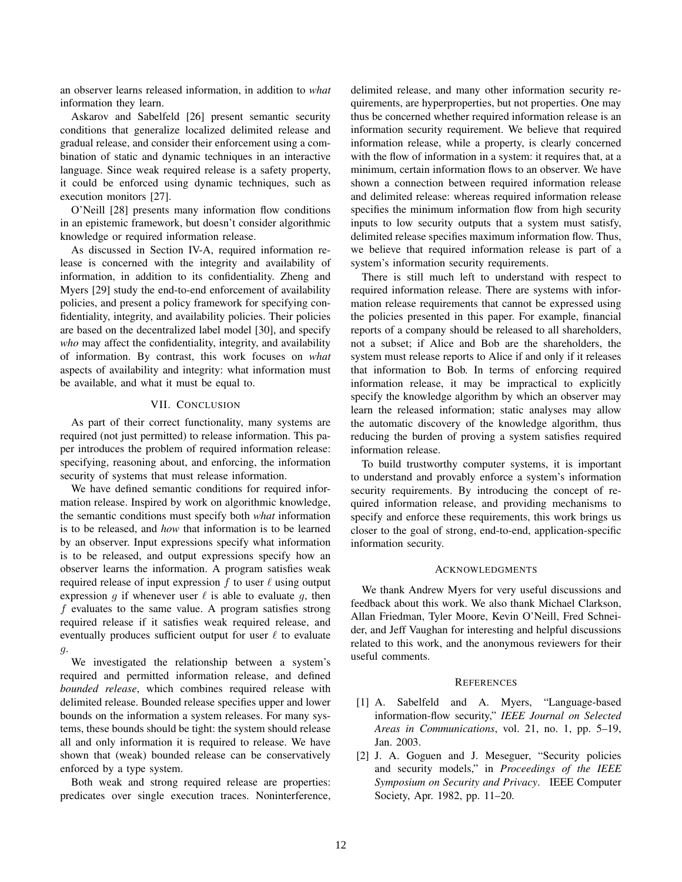an observer learns released information, in addition to *what* information they learn.

Askarov and Sabelfeld [26] present semantic security conditions that generalize localized delimited release and gradual release, and consider their enforcement using a combination of static and dynamic techniques in an interactive language. Since weak required release is a safety property, it could be enforced using dynamic techniques, such as execution monitors [27].

O'Neill [28] presents many information flow conditions in an epistemic framework, but doesn't consider algorithmic knowledge or required information release.

As discussed in Section IV-A, required information release is concerned with the integrity and availability of information, in addition to its confidentiality. Zheng and Myers [29] study the end-to-end enforcement of availability policies, and present a policy framework for specifying confidentiality, integrity, and availability policies. Their policies are based on the decentralized label model [30], and specify *who* may affect the confidentiality, integrity, and availability of information. By contrast, this work focuses on *what* aspects of availability and integrity: what information must be available, and what it must be equal to.

# VII. CONCLUSION

As part of their correct functionality, many systems are required (not just permitted) to release information. This paper introduces the problem of required information release: specifying, reasoning about, and enforcing, the information security of systems that must release information.

We have defined semantic conditions for required information release. Inspired by work on algorithmic knowledge, the semantic conditions must specify both *what* information is to be released, and *how* that information is to be learned by an observer. Input expressions specify what information is to be released, and output expressions specify how an observer learns the information. A program satisfies weak required release of input expression  $f$  to user  $\ell$  using output expression q if whenever user  $\ell$  is able to evaluate q, then f evaluates to the same value. A program satisfies strong required release if it satisfies weak required release, and eventually produces sufficient output for user  $\ell$  to evaluate  $\overline{g}$ .

We investigated the relationship between a system's required and permitted information release, and defined *bounded release*, which combines required release with delimited release. Bounded release specifies upper and lower bounds on the information a system releases. For many systems, these bounds should be tight: the system should release all and only information it is required to release. We have shown that (weak) bounded release can be conservatively enforced by a type system.

Both weak and strong required release are properties: predicates over single execution traces. Noninterference, delimited release, and many other information security requirements, are hyperproperties, but not properties. One may thus be concerned whether required information release is an information security requirement. We believe that required information release, while a property, is clearly concerned with the flow of information in a system: it requires that, at a minimum, certain information flows to an observer. We have shown a connection between required information release and delimited release: whereas required information release specifies the minimum information flow from high security inputs to low security outputs that a system must satisfy, delimited release specifies maximum information flow. Thus, we believe that required information release is part of a system's information security requirements.

There is still much left to understand with respect to required information release. There are systems with information release requirements that cannot be expressed using the policies presented in this paper. For example, financial reports of a company should be released to all shareholders, not a subset; if Alice and Bob are the shareholders, the system must release reports to Alice if and only if it releases that information to Bob. In terms of enforcing required information release, it may be impractical to explicitly specify the knowledge algorithm by which an observer may learn the released information; static analyses may allow the automatic discovery of the knowledge algorithm, thus reducing the burden of proving a system satisfies required information release.

To build trustworthy computer systems, it is important to understand and provably enforce a system's information security requirements. By introducing the concept of required information release, and providing mechanisms to specify and enforce these requirements, this work brings us closer to the goal of strong, end-to-end, application-specific information security.

#### ACKNOWLEDGMENTS

We thank Andrew Myers for very useful discussions and feedback about this work. We also thank Michael Clarkson, Allan Friedman, Tyler Moore, Kevin O'Neill, Fred Schneider, and Jeff Vaughan for interesting and helpful discussions related to this work, and the anonymous reviewers for their useful comments.

#### **REFERENCES**

- [1] A. Sabelfeld and A. Myers, "Language-based information-flow security," *IEEE Journal on Selected Areas in Communications*, vol. 21, no. 1, pp. 5–19, Jan. 2003.
- [2] J. A. Goguen and J. Meseguer, "Security policies and security models," in *Proceedings of the IEEE Symposium on Security and Privacy*. IEEE Computer Society, Apr. 1982, pp. 11–20.